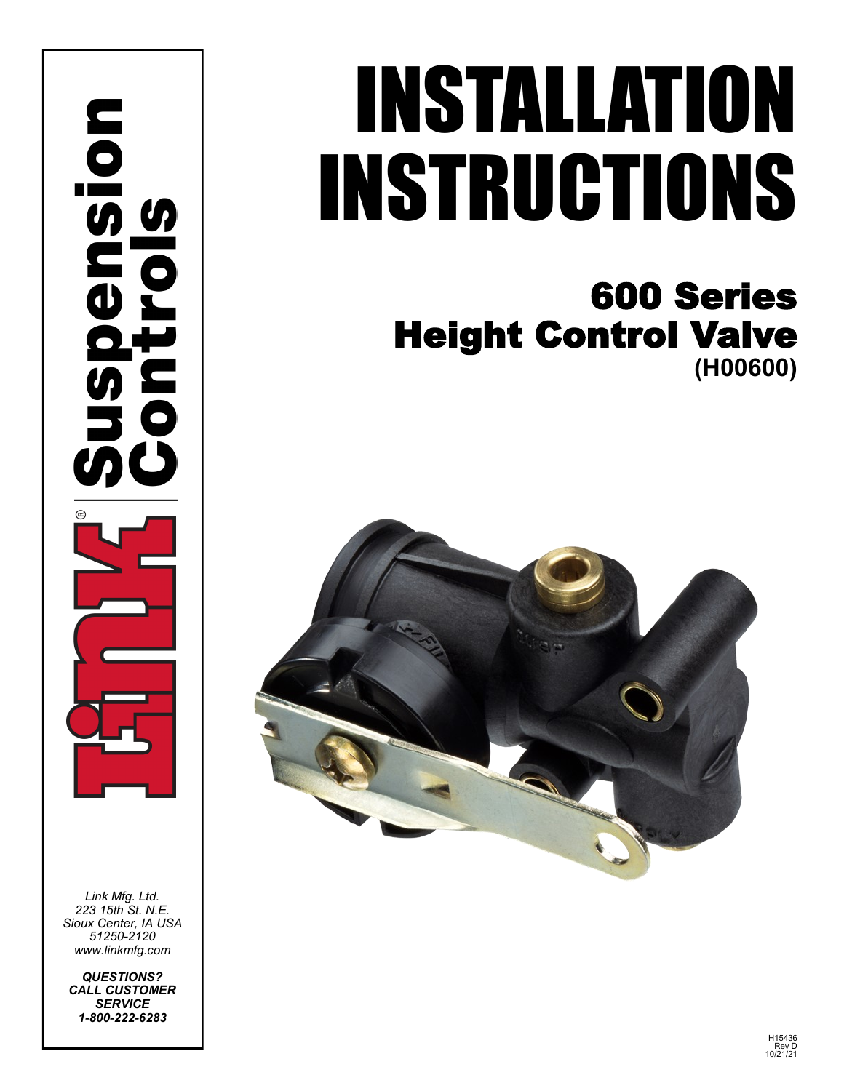nension in<br>O  $\bar{a}$ 

*Link Mfg. Ltd. 223 15th St. N.E. Sioux Center, IA USA 51250-2120 www.linkmfg.com*

*QUESTIONS? CALL CUSTOMER SERVICE 1-800-222-6283*

# INSTALLATION INSTRUCTIONS

## 600 Series Height Control Valve **(H00600)**

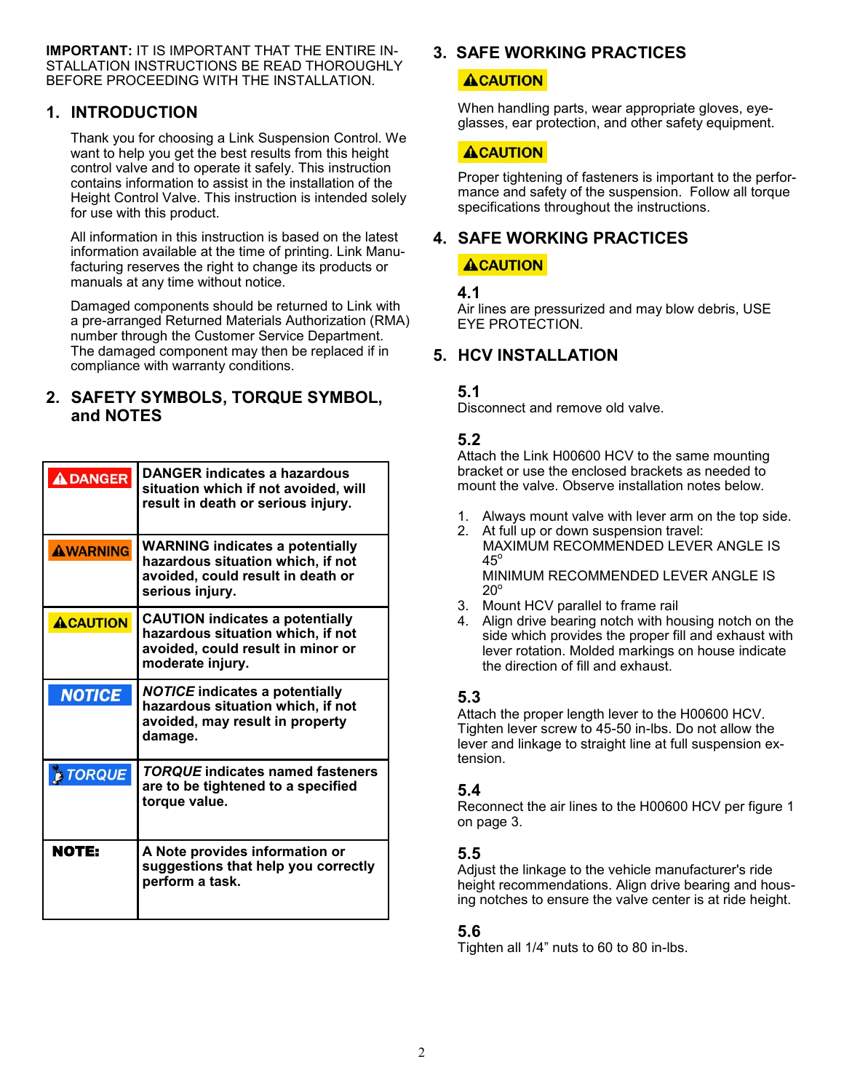**IMPORTANT:** IT IS IMPORTANT THAT THE ENTIRE IN-STALLATION INSTRUCTIONS BE READ THOROUGHLY BEFORE PROCEEDING WITH THE INSTALLATION.

#### **1. INTRODUCTION**

Thank you for choosing a Link Suspension Control. We want to help you get the best results from this height control valve and to operate it safely. This instruction contains information to assist in the installation of the Height Control Valve. This instruction is intended solely for use with this product.

All information in this instruction is based on the latest information available at the time of printing. Link Manufacturing reserves the right to change its products or manuals at any time without notice.

Damaged components should be returned to Link with a pre-arranged Returned Materials Authorization (RMA) number through the Customer Service Department. The damaged component may then be replaced if in compliance with warranty conditions.

#### **2. SAFETY SYMBOLS, TORQUE SYMBOL, and NOTES**

| <b>ADANGER</b>  | <b>DANGER indicates a hazardous</b><br>situation which if not avoided, will<br>result in death or serious injury.                    |
|-----------------|--------------------------------------------------------------------------------------------------------------------------------------|
| <b>AWARNING</b> | <b>WARNING indicates a potentially</b><br>hazardous situation which, if not<br>avoided, could result in death or<br>serious injury.  |
| <b>ACAUTION</b> | <b>CAUTION indicates a potentially</b><br>hazardous situation which, if not<br>avoided, could result in minor or<br>moderate injury. |
| <b>NOTICE</b>   | <b>NOTICE indicates a potentially</b><br>hazardous situation which, if not<br>avoided, may result in property<br>damage.             |
| <b>E TORQUE</b> | <b>TORQUE</b> indicates named fasteners<br>are to be tightened to a specified<br>torque value.                                       |
| NOTE:           | A Note provides information or<br>suggestions that help you correctly<br>perform a task.                                             |

#### **3. SAFE WORKING PRACTICES**

#### **ACAUTION**

When handling parts, wear appropriate gloves, eyeglasses, ear protection, and other safety equipment.

#### **ACAUTION**

Proper tightening of fasteners is important to the performance and safety of the suspension. Follow all torque specifications throughout the instructions.

### **4. SAFE WORKING PRACTICES**

#### ACAUTION

#### **4.1**

Air lines are pressurized and may blow debris, USE EYE PROTECTION.

#### **5. HCV INSTALLATION**

#### **5.1**

Disconnect and remove old valve.

#### **5.2**

Attach the Link H00600 HCV to the same mounting bracket or use the enclosed brackets as needed to mount the valve. Observe installation notes below.

- 1. Always mount valve with lever arm on the top side.
- 2. At full up or down suspension travel: MAXIMUM RECOMMENDED LEVER ANGLE IS  $45^\circ$ MINIMUM RECOMMENDED LEVER ANGLE IS  $20^\circ$
- 3. Mount HCV parallel to frame rail
- 4. Align drive bearing notch with housing notch on the side which provides the proper fill and exhaust with lever rotation. Molded markings on house indicate the direction of fill and exhaust.

#### **5.3**

Attach the proper length lever to the H00600 HCV. Tighten lever screw to 45-50 in-lbs. Do not allow the lever and linkage to straight line at full suspension extension.

#### **5.4**

Reconnect the air lines to the H00600 HCV per figure 1 on page 3.

#### **5.5**

Adjust the linkage to the vehicle manufacturer's ride height recommendations. Align drive bearing and housing notches to ensure the valve center is at ride height.

#### **5.6**

Tighten all 1/4" nuts to 60 to 80 in-lbs.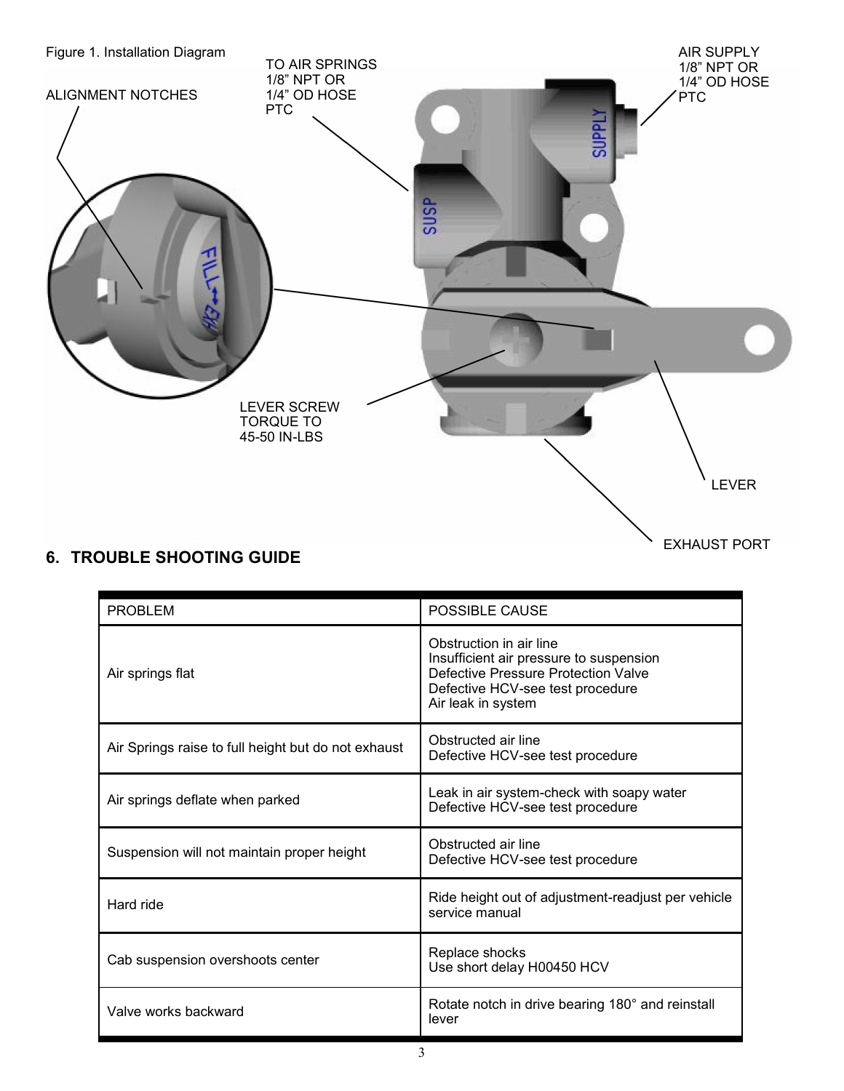

#### **6. TROUBLE SHOOTING GUIDE**

EXHAUST PORT

| <b>PROBLEM</b>                                      | POSSIBLE CAUSE                                                                                                                                                      |
|-----------------------------------------------------|---------------------------------------------------------------------------------------------------------------------------------------------------------------------|
| Air springs flat                                    | Obstruction in air line<br>Insufficient air pressure to suspension<br>Defective Pressure Protection Valve<br>Defective HCV-see test procedure<br>Air leak in system |
| Air Springs raise to full height but do not exhaust | Obstructed air line<br>Defective HCV-see test procedure                                                                                                             |
| Air springs deflate when parked                     | Leak in air system-check with soapy water<br>Defective HCV-see test procedure                                                                                       |
| Suspension will not maintain proper height          | Obstructed air line<br>Defective HCV-see test procedure                                                                                                             |
| Hard ride                                           | Ride height out of adjustment-readjust per vehicle<br>service manual                                                                                                |
| Cab suspension overshoots center                    | Replace shocks<br>Use short delay H00450 HCV                                                                                                                        |
| Valve works backward                                | Rotate notch in drive bearing 180° and reinstall<br>lever                                                                                                           |